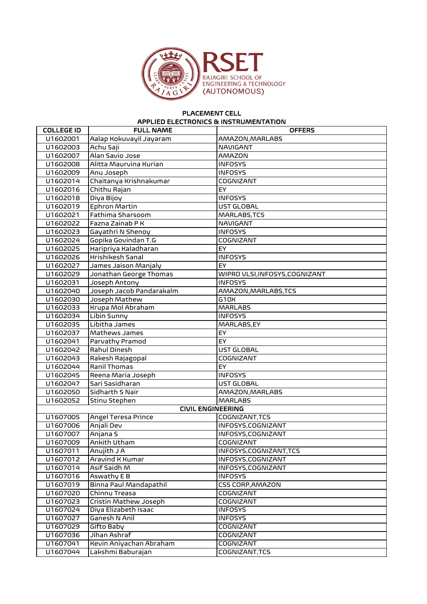

## PLACEMENT CELL APPLIED ELECTRONICS & INSTRUMENTATION

| <b>COLLEGE ID</b> | <b>FULL NAME</b>           | <b>OFFERS</b>                |
|-------------------|----------------------------|------------------------------|
| U1602001          | Aalap Kokuvayil Jayaram    | AMAZON, MARLABS              |
| U1602003          | Achu Saji                  | <b>NAVIGANT</b>              |
| U1602007          | Alan Savio Jose            | <b>AMAZON</b>                |
| U1602008          | Alitta Maurvina Kurian     | <b>INFOSYS</b>               |
| U1602009          | Anu Joseph                 | <b>INFOSYS</b>               |
| U1602014          | Chaitanya Krishnakumar     | COGNIZANT                    |
| U1602016          | Chithu Rajan               | EY                           |
| U1602018          | Diya Bijoy                 | <b>INFOSYS</b>               |
| U1602019          | Ephron Martin              | <b>UST GLOBAL</b>            |
| U1602021          | Fathima Sharsoom           | MARLABS, TCS                 |
| U1602022          | Fazna Zainab P K           | <b>NAVIGANT</b>              |
| U1602023          | Gayathri N Shenoy          | <b>INFOSYS</b>               |
| U1602024          | Gopika Govindan T.G        | COGNIZANT                    |
| U1602025          | Haripriya Kaladharan       | <b>EY</b>                    |
| U1602026          | Hrishikesh Sanal           | <b>INFOSYS</b>               |
| U1602027          | James Jaison Manjaly       | EY                           |
| U1602029          | Jonathan George Thomas     | WIPRO VLSI,INFOSYS,COGNIZANT |
| U1602031          | Joseph Antony              | <b>INFOSYS</b>               |
| U1602040          | Joseph Jacob Pandarakalm   | AMAZON, MARLABS, TCS         |
| U1602030          | Joseph Mathew              | G10X                         |
| U1602033          | Krupa Mol Abraham          | <b>MARLABS</b>               |
| U1602034          | Libin Sunny                | <b>INFOSYS</b>               |
| U1602035          | Libitha James              | MARLABS, EY                  |
| U1602037          | Mathews James              | EY                           |
| U1602041          | Parvathy Pramod            | EY                           |
| U1602042          | Rahul Dinesh               | <b>UST GLOBAL</b>            |
| U1602043          | Rakesh Rajagopal           | <b>COGNIZANT</b>             |
| U1602044          | Ranil Thomas               | EY                           |
| U1602045          | Reena Maria Joseph         | <b>INFOSYS</b>               |
| U1602047          | Sari Sasidharan            | UST GLOBAL                   |
| U1602050          | Sidharth S Nair            | AMAZON, MARLABS              |
| U1602052          | Stinu Stephen              | <b>MARLABS</b>               |
|                   | <b>CIVIL ENGINEERING</b>   |                              |
| U1607005          | <b>Angel Teresa Prince</b> | COGNIZANT, TCS               |
| U1607006          | Anjali Dev                 | INFOSYS, COGNIZANT           |
| U1607007          | Anjana S                   | INFOSYS, COGNIZANT           |
| U1607009          | Ankith Utham               | COGNIZANT                    |
| U1607011          | Anujith J A                | INFOSYS, COGNIZANT, TCS      |
| U1607012          | Aravind K Kumar            | INFOSYS, COGNIZANT           |
| U1607014          | Asif Saidh M               | INFOSYS, COGNIZANT           |
| U1607016          | Aswathy E B                | <b>INFOSYS</b>               |
| U1607019          | Binna Paul Mandapathil     | <b>CSS CORP, AMAZON</b>      |
| U1607020          | Chinnu Treasa              | COGNIZANT                    |
| U1607023          | Cristin Mathew Joseph      | COGNIZANT                    |
| U1607024          | Diya Elizabeth Isaac       | <b>INFOSYS</b>               |
| U1607027          | Ganesh N Anil              | <b>INFOSYS</b>               |
| U1607029          | Gifto Baby                 | COGNIZANT                    |
| U1607036          | Jihan Ashraf               | COGNIZANT                    |
| U1607041          | Kevin Aniyachan Abraham    | COGNIZANT                    |
| U1607044          | Lakshmi Baburajan          | COGNIZANT,TCS                |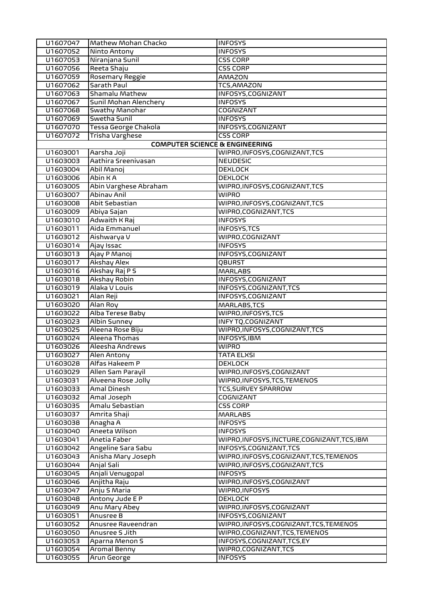| U1607047 | Mathew Mohan Chacko                       | <b>INFOSYS</b>                          |
|----------|-------------------------------------------|-----------------------------------------|
| U1607052 | Ninto Antony                              | <b>INFOSYS</b>                          |
| U1607053 | Niranjana Sunil                           | <b>CSS CORP</b>                         |
| U1607056 | Reeta Shaju                               | <b>CSS CORP</b>                         |
| U1607059 | Rosemary Reggie                           | <b>AMAZON</b>                           |
| U1607062 | Sarath Paul                               | TCS, AMAZON                             |
| U1607063 | Shamalu Mathew                            | INFOSYS, COGNIZANT                      |
| U1607067 | Sunil Mohan Alenchery                     | <b>INFOSYS</b>                          |
| U1607068 | Swathy Manohar                            | <b>COGNIZANT</b>                        |
| U1607069 | Swetha Sunil                              | <b>INFOSYS</b>                          |
| U1607070 | Tessa George Chakola                      | INFOSYS, COGNIZANT                      |
| U1607072 | <b>Trisha Varghese</b>                    | <b>CSS CORP</b>                         |
|          | <b>COMPUTER SCIENCE &amp; ENGINEERING</b> |                                         |
| U1603001 | Aarsha Joji                               | WIPRO, INFOSYS, COGNIZANT, TCS          |
| U1603003 | Aathira Sreenivasan                       | <b>NEUDESIC</b>                         |
| U1603004 | Abil Manoj                                | <b>DEXLOCK</b>                          |
| U1603006 | Abin KA                                   | <b>DEXLOCK</b>                          |
| U1603005 | Abin Varghese Abraham                     | WIPRO, INFOSYS, COGNIZANT, TCS          |
| U1603007 | Abinav Anil                               | <b>WIPRO</b>                            |
| U1603008 | Abit Sebastian                            | WIPRO, INFOSYS, COGNIZANT, TCS          |
| U1603009 | Abiya Sajan                               | WIPRO,COGNIZANT,TCS                     |
| U1603010 | Adwaith K Raj                             | <b>INFOSYS</b>                          |
| U1603011 | Aida Emmanuel                             | <b>INFOSYS, TCS</b>                     |
| U1603012 | Aishwarya V                               | WIPRO, COGNIZANT                        |
| U1603014 | Ajay Issac                                | <b>INFOSYS</b>                          |
| U1603013 | Ajay P Manoj                              | INFOSYS, COGNIZANT                      |
| U1603017 | <b>Akshay Alex</b>                        | QBURST                                  |
| U1603016 | Akshay Raj P S                            | <b>MARLABS</b>                          |
| U1603018 | Akshay Robin                              | INFOSYS, COGNIZANT                      |
| U1603019 | Alaka V Louis                             | INFOSYS, COGNIZANT, TCS                 |
| U1603021 | Alan Reji                                 | INFOSYS, COGNIZANT                      |
| U1603020 | Alan Roy                                  | MARLABS, TCS                            |
| U1603022 | Alba Terese Baby                          | WIPRO, INFOSYS, TCS                     |
| U1603023 | <b>Albin Sunney</b>                       | <b>INFY TQ,COGNIZANT</b>                |
| U1603025 | Aleena Rose Biju                          | WIPRO, INFOSYS, COGNIZANT, TCS          |
| U1603024 | Aleena Thomas                             | INFOSYS, IBM                            |
| U1603026 | Aleesha Andrews                           | WIPRO                                   |
| U1603027 | Alen Antony                               | TATA ELXSI                              |
| U1603028 | Alfas Hakeem P                            | <b>DEXLOCK</b>                          |
| U1603029 | Allen Sam Parayil                         | WIPRO, INFOSYS, COGNIZANT               |
| U1603031 | Alveena Rose Jolly                        | WIPRO, INFOSYS, TCS, TEMENOS            |
| U1603033 | Amal Dinesh                               | <b>TCS, SURVEY SPARROW</b>              |
| U1603032 | Amal Joseph                               | COGNIZANT                               |
| U1603035 | Amalu Sebastian                           | <b>CSS CORP</b>                         |
| U1603037 | Amrita Shaji                              | <b>MARLABS</b>                          |
| U1603038 | Anagha A                                  | <b>INFOSYS</b>                          |
| U1603040 | Aneeta Wilson                             | <b>INFOSYS</b>                          |
| U1603041 | Anetia Faber                              | WIPRO,INFOSYS,INCTURE,COGNIZANT,TCS,IBM |
| U1603042 | Angeline Sara Sabu                        | INFOSYS,COGNIZANT,TCS                   |
| U1603043 | Anisha Mary Joseph                        | WIPRO,INFOSYS,COGNIZANT,TCS,TEMENOS     |
| U1603044 | Anjal Sali                                | WIPRO, INFOSYS, COGNIZANT, TCS          |
| U1603045 | Anjali Venugopal                          | <b>INFOSYS</b>                          |
| U1603046 | Anjitha Raju                              | WIPRO,INFOSYS,COGNIZANT                 |
| U1603047 | Anju S Maria                              | WIPRO, INFOSYS                          |
| U1603048 | Antony Jude E P                           | <b>DEXLOCK</b>                          |
| U1603049 | Anu Mary Abey                             | WIPRO,INFOSYS,COGNIZANT                 |
| U1603051 | Anusree B                                 | INFOSYS, COGNIZANT                      |
| U1603052 | Anusree Raveendran                        | WIPRO, INFOSYS, COGNIZANT, TCS, TEMENOS |
| U1603050 | Anusree S Jith                            | WIPRO,COGNIZANT,TCS,TEMENOS             |
| U1603053 | Aparna Menon S                            | INFOSYS, COGNIZANT, TCS, EY             |
| U1603054 | Aromal Benny                              | WIPRO,COGNIZANT,TCS                     |
| U1603055 | Arun George                               | <b>INFOSYS</b>                          |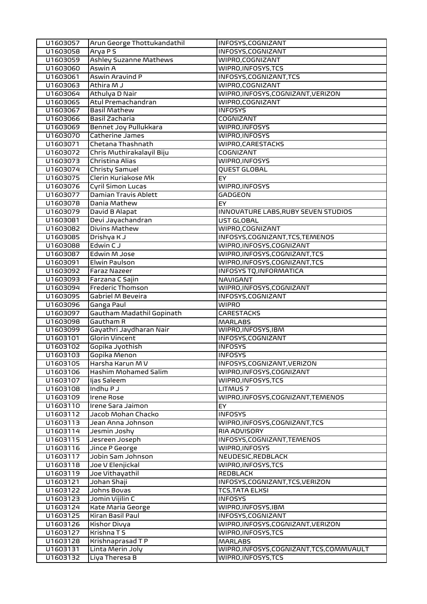| U1603057 | Arun George Thottukandathil   | INFOSYS, COGNIZANT                    |
|----------|-------------------------------|---------------------------------------|
| U1603058 | Arya PS                       | INFOSYS, COGNIZANT                    |
| U1603059 | <b>Ashley Suzanne Mathews</b> | WIPRO, COGNIZANT                      |
| U1603060 | Aswin A                       | WIPRO, INFOSYS, TCS                   |
| U1603061 | Aswin Aravind P               | INFOSYS, COGNIZANT, TCS               |
| U1603063 | Athira M J                    | WIPRO, COGNIZANT                      |
| U1603064 | Athulya D Nair                | WIPRO, INFOSYS, COGNIZANT, VERIZON    |
| U1603065 | Atul Premachandran            | WIPRO, COGNIZANT                      |
| U1603067 | <b>Basil Mathew</b>           | <b>INFOSYS</b>                        |
| U1603066 | Basil Zacharia                | <b>COGNIZANT</b>                      |
| U1603069 | Bennet Joy Pullukkara         | WIPRO, INFOSYS                        |
| U1603070 | Catherine James               | WIPRO, INFOSYS                        |
| U1603071 | Chetana Thashnath             | WIPRO, CARESTACKS                     |
| U1603072 | Chris Muthirakalayil Biju     | <b>COGNIZANT</b>                      |
| U1603073 | Christina Alias               | WIPRO, INFOSYS                        |
| U1603074 | <b>Christy Samuel</b>         | <b>QUEST GLOBAL</b>                   |
| U1603075 | Clerin Kuriakose Mk           | EY.                                   |
| U1603076 | Cyril Simon Lucas             | WIPRO, INFOSYS                        |
| U1603077 | Damian Travis Ablett          | GADGEON                               |
| U1603078 | Dania Mathew                  | EY.                                   |
| U1603079 | David B Alapat                | INNOVATURE LABS, RUBY SEVEN STUDIOS   |
| U1603081 | Devi Jayachandran             | UST GLOBAL                            |
| U1603082 | Divins Mathew                 | WIPRO, COGNIZANT                      |
| U1603085 | Drishya K J                   | INFOSYS,COGNIZANT,TCS,TEMENOS         |
| U1603088 | Edwin CJ                      | WIPRO,INFOSYS,COGNIZANT               |
| U1603087 | Edwin M Jose                  | WIPRO, INFOSYS, COGNIZANT, TCS        |
| U1603091 | Elwin Paulson                 | WIPRO, INFOSYS, COGNIZANT, TCS        |
| U1603092 | <b>Faraz Nazeer</b>           | <b>INFOSYS TQ, INFORMATICA</b>        |
| U1603093 | Farzana C Sajin               | NAVIGANT                              |
| U1603094 | <b>Frederic Thomson</b>       | WIPRO, INFOSYS, COGNIZANT             |
| U1603095 | Gabriel M Beveira             | INFOSYS, COGNIZANT                    |
|          |                               |                                       |
| U1603096 | Ganga Paul                    | <b>WIPRO</b>                          |
| U1603097 | Gautham Madathil Gopinath     | <b>CARESTACKS</b>                     |
| U1603098 | Gautham R                     | <b>MARLABS</b>                        |
| U1603099 | Gayathri Jaydharan Nair       | WIPRO, INFOSYS, IBM                   |
| U1603101 | <b>Glorin Vincent</b>         | INFOSYS, COGNIZANT                    |
| U1603102 | Gopika Jyothish               | <b>INFOSYS</b>                        |
| U1603103 | Gopika Menon                  | <b>INFOSYS</b>                        |
| U1603105 | Harsha Karun M V              | INFOSYS, COGNIZANT, VERIZON           |
| U1603106 | Hashim Mohamed Salim          | WIPRO, INFOSYS, COGNIZANT             |
| U1603107 | ljas Saleem                   | WIPRO, INFOSYS, TCS                   |
| U1603108 | Indhu P J                     | LITMUS <sub>7</sub>                   |
| U1603109 | <b>Irene Rose</b>             | WIPRO, INFOSYS, COGNIZANT, TEMENOS    |
| U1603110 | Irene Sara Jaimon             | EY                                    |
| U1603112 | Jacob Mohan Chacko            | <b>INFOSYS</b>                        |
| U1603113 | Jean Anna Johnson             | WIPRO, INFOSYS, COGNIZANT, TCS        |
| U1603114 | Jesmin Joshy                  | RIA ADVISORY                          |
| U1603115 | Jesreen Joseph                | INFOSYS, COGNIZANT, TEMENOS           |
| U1603116 | Jince P George                | WIPRO, INFOSYS                        |
| U1603117 | Jobin Sam Johnson             | NEUDESIC, REDBLACK                    |
| U1603118 | Joe V Elenjickal              | WIPRO,INFOSYS,TCS                     |
| U1603119 | Joe Vithayathil               | <b>REDBLACK</b>                       |
| U1603121 | Johan Shaji                   | INFOSYS, COGNIZANT, TCS, VERIZON      |
| U1603122 | Johns Bovas                   | TCS,TATA ELXSI                        |
| U1603123 | Jomin Vijilin C               | <b>INFOSYS</b>                        |
| U1603124 | Kate Maria George             | WIPRO,INFOSYS,IBM                     |
| U1603125 | Kiran Basil Paul              | INFOSYS, COGNIZANT                    |
| U1603126 | <b>Kishor Divya</b>           | WIPRO, INFOSYS, COGNIZANT, VERIZON    |
| U1603127 | Krishna T S                   | WIPRO, INFOSYS, TCS                   |
| U1603128 | Krishnaprasad T P             | <b>MARLABS</b>                        |
| U1603131 | Linta Merin Joly              | WIPRO,INFOSYS,COGNIZANT,TCS,COMMVAULT |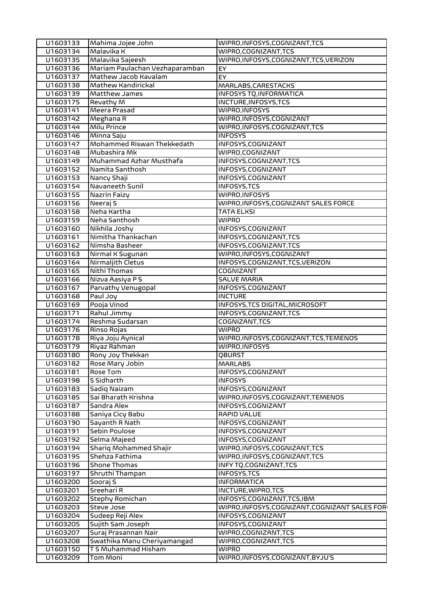| U1603133 | Mahima Jojee John              | WIPRO, INFOSYS, COGNIZANT, TCS                 |
|----------|--------------------------------|------------------------------------------------|
| U1603134 | Malavika K                     | WIPRO, COGNIZANT, TCS                          |
| U1603135 | Malavika Sajeesh               | WIPRO, INFOSYS, COGNIZANT, TCS, VERIZON        |
| U1603136 | Mariam Paulachan Vezhaparamban | EY                                             |
| U1603137 | Mathew Jacob Kavalam           | EY                                             |
| U1603138 | Mathew Kandirickal             | MARLABS, CARESTACKS                            |
| U1603139 | Matthew James                  | <b>INFOSYS TQ, INFORMATICA</b>                 |
| U1603175 | Revathy M                      | INCTURE, INFOSYS, TCS                          |
| U1603141 | Meera Prasad                   | WIPRO, INFOSYS                                 |
| U1603142 | Meghana R                      | WIPRO, INFOSYS, COGNIZANT                      |
| U1603144 | Milu Prince                    | WIPRO, INFOSYS, COGNIZANT, TCS                 |
| U1603146 | Minna Saju                     | <b>INFOSYS</b>                                 |
| U1603147 | Mohammed Riswan Thekkedath     | INFOSYS, COGNIZANT                             |
| U1603148 | Mubashira Mk                   | WIPRO,COGNIZANT                                |
| U1603149 | Muhammad Azhar Musthafa        | INFOSYS, COGNIZANT, TCS                        |
| U1603152 | Namita Santhosh                | INFOSYS, COGNIZANT                             |
| U1603153 | Nancy Shaji                    | INFOSYS, COGNIZANT                             |
| U1603154 | Navaneeth Sunil                | <b>INFOSYS, TCS</b>                            |
| U1603155 | Nazrin Faizy                   | WIPRO, INFOSYS                                 |
| U1603156 | Neeraj S                       | WIPRO, INFOSYS, COGNIZANT SALES FORCE          |
| U1603158 | Neha Kartha                    | <b>TATA ELXSI</b>                              |
| U1603159 | Neha Santhosh                  | <b>WIPRO</b>                                   |
| U1603160 | Nikhila Joshy                  | INFOSYS, COGNIZANT                             |
| U1603161 | Nimitha Thankachan             | INFOSYS, COGNIZANT, TCS                        |
| U1603162 | Nimsha Basheer                 | INFOSYS, COGNIZANT, TCS                        |
| U1603163 | Nirmal K Sugunan               | WIPRO, INFOSYS, COGNIZANT                      |
| U1603164 | Nirmaljith Cletus              | INFOSYS, COGNIZANT, TCS, VERIZON               |
| U1603165 | Nithi Thomas                   | <b>COGNIZANT</b>                               |
| U1603166 | Nizva Aasiya P S               | <b>SALVE MARIA</b>                             |
| U1603167 | Parvathy Venugopal             | INFOSYS, COGNIZANT                             |
| U1603168 | Paul Joy                       | <b>INCTURE</b>                                 |
| U1603169 | Pooja Vinod                    | INFOSYS, TCS DIGITAL, MICROSOFT                |
| U1603171 | Rahul Jimmy                    | INFOSYS, COGNIZANT, TCS                        |
| U1603174 | Reshma Sudarsan                | COGNIZANT, TCS                                 |
| U1603176 | Rinso Rojas                    | <b>WIPRO</b>                                   |
| U1603178 | Riya Joju Aynical              | WIPRO, INFOSYS, COGNIZANT, TCS, TEMENOS        |
| U1603179 | Riyaz Rahman                   | WIPRO, INFOSYS                                 |
| U1603180 | Rony Joy Thekkan               | QBURST                                         |
| U1603182 | Rose Mary Jobin                | <b>MARLABS</b>                                 |
| U1603181 | Rose Tom                       | INFOSYS, COGNIZANT                             |
| U1603198 | S Sidharth                     | <b>INFOSYS</b>                                 |
| U1603183 | Sadiq Naizam                   | INFOSYS, COGNIZANT                             |
| U1603185 | Sai Bharath Krishna            | WIPRO, INFOSYS, COGNIZANT, TEMENOS             |
| U1603187 | Sandra Alex                    | INFOSYS, COGNIZANT                             |
| U1603188 | Saniya Cicy Babu               | RAPID VALUE                                    |
| U1603190 | Sayanth R Nath                 | INFOSYS, COGNIZANT                             |
| U1603191 | Sebin Poulose                  | INFOSYS, COGNIZANT                             |
| U1603192 | Selma Majeed                   | INFOSYS, COGNIZANT                             |
| U1603194 | <b>Sharig Mohammed Shajir</b>  | WIPRO, INFOSYS, COGNIZANT, TCS                 |
| U1603195 | Shehza Fathima                 | WIPRO, INFOSYS, COGNIZANT, TCS                 |
| U1603196 | Shone Thomas                   | INFY TQ, COGNIZANT, TCS                        |
| U1603197 | Shruthi Thampan                | INFOSYS, TCS                                   |
| U1603200 | Sooraj S                       | <b>INFORMATICA</b>                             |
| U1603201 | Sreehari R                     | INCTURE, WIPRO, TCS                            |
| U1603202 | Stephy Romichan                | INFOSYS, COGNIZANT, TCS, IBM                   |
| U1603203 | Steve Jose                     | WIPRO, INFOSYS, COGNIZANT, COGNIZANT SALES FOR |
| U1603204 | Sudeep Reji Alex               | INFOSYS, COGNIZANT                             |
| U1603205 | Sujith Sam Joseph              | INFOSYS, COGNIZANT                             |
| U1603207 | Suraj Prasannan Nair           | WIPRO, COGNIZANT, TCS                          |
| U1603208 | Swathika Manu Cheriyamangad    | WIPRO, COGNIZANT, TCS                          |
| U1603150 | T S Muhammad Hisham            | <b>WIPRO</b>                                   |
| U1603209 | Tom Moni                       | WIPRO, INFOSYS, COGNIZANT, BYJU'S              |
|          |                                |                                                |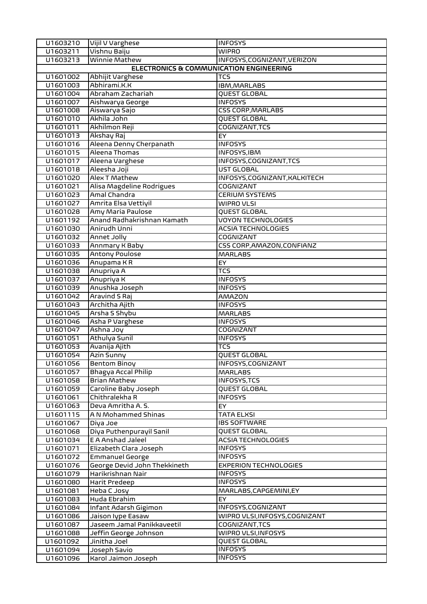| U1603210 | Vijil V Varghese                        | <b>INFOSYS</b>                 |
|----------|-----------------------------------------|--------------------------------|
| U1603211 | Vishnu Baiju                            | <b>WIPRO</b>                   |
| U1603213 | Winnie Mathew                           | INFOSYS, COGNIZANT, VERIZON    |
|          | ELECTRONICS & COMMUNICATION ENGINEERING |                                |
| U1601002 | Abhijit Varghese                        | <b>TCS</b>                     |
| U1601003 | Abhirami.K.K                            | IBM, MARLABS                   |
| U1601004 | Abraham Zachariah                       | QUEST GLOBAL                   |
| U1601007 | Aishwarya George                        | <b>INFOSYS</b>                 |
| U1601008 | Aiswarya Sajo                           | <b>CSS CORP, MARLABS</b>       |
| U1601010 | Akhila John                             | QUEST GLOBAL                   |
| U1601011 | Akhilmon Reji                           | COGNIZANT, TCS                 |
| U1601013 | Akshay Raj                              | EY                             |
| U1601016 | Aleena Denny Cherpanath                 | <b>INFOSYS</b>                 |
| U1601015 | Aleena Thomas                           | INFOSYS, IBM                   |
| U1601017 | Aleena Varghese                         | INFOSYS, COGNIZANT, TCS        |
| U1601018 | Aleesha Joji                            | <b>UST GLOBAL</b>              |
| U1601020 | Alex T Mathew                           | INFOSYS, COGNIZANT, KALKITECH  |
| U1601021 | Alisa Magdeline Rodrigues               | COGNIZANT                      |
| U1601023 | Amal Chandra                            | <b>CERIUM SYSTEMS</b>          |
| U1601027 | Amrita Elsa Vettiyil                    | WIPRO VLSI                     |
| U1601028 | Amy Maria Paulose                       | QUEST GLOBAL                   |
| U1601192 | Anand Radhakrishnan Kamath              | <b>VOYON TECHNOLOGIES</b>      |
| U1601030 | Anirudh Unni                            | <b>ACSIA TECHNOLOGIES</b>      |
| U1601032 | Annet Jolly                             | <b>COGNIZANT</b>               |
| U1601033 | Annmary K Baby                          | CSS CORP, AMAZON, CONFIANZ     |
| U1601035 | <b>Antony Poulose</b>                   | <b>MARLABS</b>                 |
| U1601036 | Anupama KR                              | EY                             |
| U1601038 | Anupriya A                              | TCS                            |
| U1601037 | Anupriya K                              | <b>INFOSYS</b>                 |
| U1601039 | Anushka Joseph                          | <b>INFOSYS</b>                 |
| U1601042 | Aravind S Raj                           | AMAZON                         |
| U1601043 | Architha Ajith                          | <b>INFOSYS</b>                 |
| U1601045 | Arsha S Shybu                           | <b>MARLABS</b>                 |
| U1601046 | Asha P Varghese                         | <b>INFOSYS</b>                 |
| U1601047 | Ashna Joy                               | COGNIZANT                      |
| U1601051 | Athulya Sunil                           | <b>INFOSYS</b>                 |
| U1601053 | Avanija Ajith                           | TCS                            |
| U1601054 | Azin Sunny                              | QUEST GLOBAL                   |
| U1601056 | Bentom Binoy                            | INFOSYS, COGNIZANT             |
| U1601057 | Bhagya Accal Philip                     | <b>MARLABS</b>                 |
| U1601058 | <b>Brian Mathew</b>                     | INFOSYS, TCS                   |
| U1601059 | Caroline Baby Joseph                    | QUEST GLOBAL                   |
| U1601061 | Chithralekha R                          | <b>INFOSYS</b>                 |
| U1601063 | Deva Amritha A. S.                      | EY.                            |
| U1601115 | A N Mohammed Shinas                     | TATA ELXSI                     |
| U1601067 | Diya Joe                                | <b>IBS SOFTWARE</b>            |
| U1601068 | Diya Puthenpurayil Sanil                | <b>QUEST GLOBAL</b>            |
| U1601034 | E A Anshad Jaleel                       | <b>ACSIA TECHNOLOGIES</b>      |
| U1601071 | Elizabeth Clara Joseph                  | <b>INFOSYS</b>                 |
| U1601072 | <b>Emmanuel George</b>                  | <b>INFOSYS</b>                 |
| U1601076 | George Devid John Thekkineth            | <b>EXPERION TECHNOLOGIES</b>   |
| U1601079 | Harikrishnan Nair                       | <b>INFOSYS</b>                 |
| U1601080 | Harit Predeep                           | <b>INFOSYS</b>                 |
| U1601081 | Heba C Josy                             | MARLABS, CAPGEMINI, EY         |
| U1601083 | Huda Ebrahim                            | EY                             |
| U1601084 | Infant Adarsh Gigimon                   | INFOSYS, COGNIZANT             |
| U1601086 | Jaison lype Easaw                       | WIPRO VLSI, INFOSYS, COGNIZANT |
| U1601087 | Jaseem Jamal Panikkaveetil              | COGNIZANT, TCS                 |
| U1601088 | Jeffin George Johnson                   | WIPRO VLSI, INFOSYS            |
| U1601092 | Jinitha Joel                            | QUEST GLOBAL                   |
| U1601094 | Joseph Savio                            | <b>INFOSYS</b>                 |
| U1601096 | Karol Jaimon Joseph                     | <b>INFOSYS</b>                 |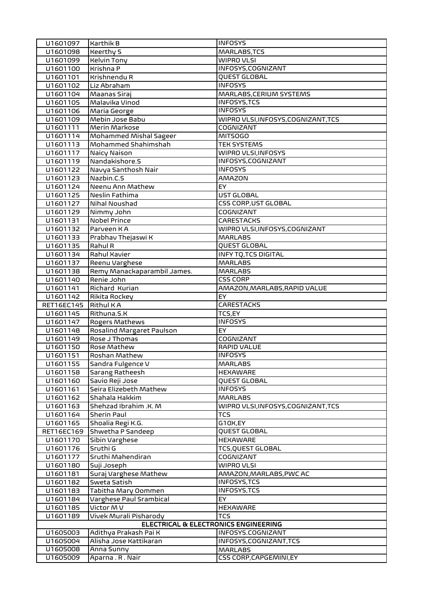| U1601097             | <b>Karthik B</b>                     | <b>INFOSYS</b>                      |
|----------------------|--------------------------------------|-------------------------------------|
| U1601098             | <b>Keerthy S</b>                     | MARLABS, TCS                        |
| U1601099             | <b>Kelvin Tony</b>                   | WIPRO VLSI                          |
| U1601100             | Krishna P                            | INFOSYS, COGNIZANT                  |
| U1601101             | Krishnendu R                         | QUEST GLOBAL                        |
| U1601102             | Liz Abraham                          | <b>INFOSYS</b>                      |
| U1601104             | Maanas Siraj                         | MARLABS, CERIUM SYSTEMS             |
| U1601105             | Malavika Vinod                       | INFOSYS, TCS                        |
| U1601106             | Maria George                         | <b>INFOSYS</b>                      |
| U1601109             | Mebin Jose Babu                      | WIPRO VLSI, INFOSYS, COGNIZANT, TCS |
| U1601111             | Merin Markose                        | COGNIZANT                           |
| U1601114             | Mohammed Mishal Sageer               | <b>MITSOGO</b>                      |
| U1601113             | Mohammed Shahimshah                  | <b>TEK SYSTEMS</b>                  |
| U1601117             | Naicy Naison                         | WIPRO VLSI, INFOSYS                 |
| U1601119             | Nandakishore.S                       | INFOSYS, COGNIZANT                  |
| U1601122             | Navya Santhosh Nair                  | <b>INFOSYS</b>                      |
| U1601123             | Nazbin.C.S                           | AMAZON                              |
| U1601124             | Neenu Ann Mathew                     | EY                                  |
| U1601125             | Neslin Fathima                       | <b>UST GLOBAL</b>                   |
| U1601127             | Nihal Noushad                        | <b>CSS CORP, UST GLOBAL</b>         |
| U1601129             | Nimmy John                           | <b>COGNIZANT</b>                    |
| U1601131             | <b>Nobel Prince</b>                  | <b>CARESTACKS</b>                   |
| U1601132             | Parveen KA                           | WIPRO VLSI,INFOSYS,COGNIZANT        |
| U1601133             | Prabhav Thejaswi K                   | <b>MARLABS</b>                      |
| U1601135             | Rahul R                              | <b>QUEST GLOBAL</b>                 |
| U1601134             | Rahul Xavier                         | <b>INFY TQ, TCS DIGITAL</b>         |
| U1601137             | Reenu Varghese                       | <b>MARLABS</b>                      |
| U1601138             | Remy Manackaparambil James.          | <b>MARLABS</b>                      |
| U1601140             | Renie John                           | <b>CSS CORP</b>                     |
| U1601141             | Richard Kurian                       | AMAZON, MARLABS, RAPID VALUE        |
| U1601142             | Rikita Rockey                        | EY                                  |
|                      |                                      |                                     |
| RET16EC145           | <b>Rithul KA</b>                     | <b>CARESTACKS</b>                   |
| U1601145             | Rithuna.S.K                          | TCS,EY                              |
| U1601147             | Rogers Mathews                       | <b>INFOSYS</b>                      |
| U1601148             | Rosalind Margaret Paulson            | EY.                                 |
| U1601149             | Rose J Thomas                        | COGNIZANT                           |
| U1601150             | Rose Mathew                          | RAPID VALUE                         |
| U1601151             | Roshan Mathew                        | <b>INFOSYS</b>                      |
| U1601155             | Sandra Fulgence V                    | <b>MARLABS</b>                      |
| U1601158             | Sarang Ratheesh                      | <b>HEXAWARE</b>                     |
| U1601160             | Savio Reji Jose                      | QUEST GLOBAL                        |
| U1601161             | Seira Elizebeth Mathew               | <b>INFOSYS</b>                      |
| U1601162             | Shahala Hakkim                       | <b>MARLABS</b>                      |
| U1601163             | Shehzad Ibrahim .K. M                | WIPRO VLSI, INFOSYS, COGNIZANT, TCS |
| U1601164             | Sherin Paul                          | TCS                                 |
| U1601165             | Shoalia Regi K.G.                    | G10X,EY                             |
| RET16EC169           | Shwetha P Sandeep                    | <b>QUEST GLOBAL</b>                 |
| U1601170             | Sibin Varghese                       | <b>HEXAWARE</b>                     |
| U1601176             | Sruthi G                             | <b>TCS, QUEST GLOBAL</b>            |
| U1601177             | Sruthi Mahendiran                    | COGNIZANT                           |
| U1601180             | Suji Joseph                          | WIPRO VLSI                          |
| U1601181             | Suraj Varghese Mathew                | AMAZON, MARLABS, PWC AC             |
| U1601182             | Sweta Satish                         | INFOSYS, TCS                        |
| U1601183             | Tabitha Mary Oommen                  | INFOSYS, TCS                        |
| U1601184             | Varghese Paul Srambical              | EY                                  |
| U1601185             | Victor MV                            | <b>HEXAWARE</b>                     |
| U1601189             | Vivek Murali Pisharody               | TCS                                 |
|                      | ELECTRICAL & ELECTRONICS ENGINEERING |                                     |
| U1605003             | Adithya Prakash Pai K                | INFOSYS.COGNIZANT                   |
| U1605004             | Alisha Jose Kattikaran               | INFOSYS, COGNIZANT, TCS             |
| U1605008<br>U1605009 | Anna Sunny<br>Aparna.R.Nair          | <b>MARLABS</b>                      |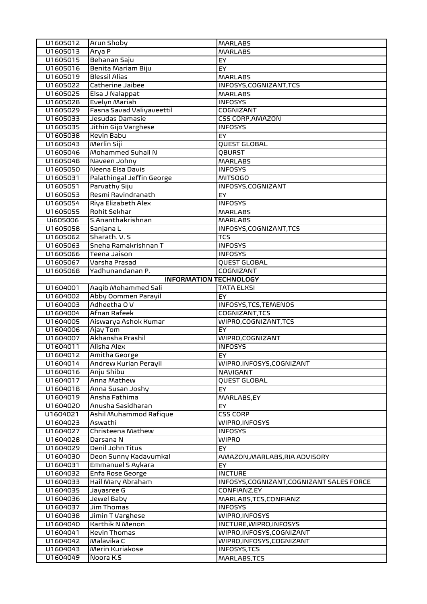| U1605012             | Arun Shoby                          | <b>MARLABS</b>                                           |
|----------------------|-------------------------------------|----------------------------------------------------------|
| U1605013             | Arya P                              | <b>MARLABS</b>                                           |
| U1605015             | Behanan Saju                        | EY                                                       |
| U1605016             | Benita Mariam Biju                  | EY                                                       |
| U1605019             | <b>Blessil Alias</b>                | <b>MARLABS</b>                                           |
| U1605022             | Catherine Jaibee                    | INFOSYS, COGNIZANT, TCS                                  |
| U1605025             | Elsa J Nalappat                     | <b>MARLABS</b>                                           |
| U1605028             | Evelyn Mariah                       | <b>INFOSYS</b>                                           |
| U1605029             | Fasna Savad Valiyaveettil           | COGNIZANT                                                |
| U1605033             | Jesudas Damasie                     | <b>CSS CORP, AMAZON</b>                                  |
| U1605035             | Jithin Gijo Varghese                | <b>INFOSYS</b>                                           |
| U1605038             | <b>Kevin Babu</b>                   | EY                                                       |
| U1605043             | Merlin Siji                         | QUEST GLOBAL                                             |
| U1605046             | Mohammed Suhail N                   | QBURST                                                   |
| U1605048             | Naveen Johny                        | <b>MARLABS</b>                                           |
| U1605050             | Neena Elsa Davis                    | <b>INFOSYS</b>                                           |
| U1605031<br>U1605051 | Palathingal Jeffin George           | <b>MITSOGO</b><br>INFOSYS, COGNIZANT                     |
|                      | Parvathy Siju<br>Resmi Ravindranath |                                                          |
| U1605053<br>U1605054 | Riya Elizabeth Alex                 | <b>EY</b><br><b>INFOSYS</b>                              |
| U1605055             | Rohit Sekhar                        | <b>MARLABS</b>                                           |
| Ui605006             | S.Ananthakrishnan                   | <b>MARLABS</b>                                           |
| U1605058             | Sanjana L                           | INFOSYS, COGNIZANT, TCS                                  |
| U1605062             | Sharath. V. S                       | <b>TCS</b>                                               |
| U1605063             | Sneha Ramakrishnan T                | <b>INFOSYS</b>                                           |
| U1605066             | Teena Jaison                        | <b>INFOSYS</b>                                           |
| U1605067             | Varsha Prasad                       | QUEST GLOBAL                                             |
| U1605068             | Yadhunandanan P.                    | COGNIZANT                                                |
|                      | <b>INFORMATION TECHNOLOGY</b>       |                                                          |
| U1604001             | Aaqib Mohammed Sali                 | <b>TATA ELXSI</b>                                        |
| U1604002             | Abby Oommen Parayil                 | EY                                                       |
| U1604003             | Adheetha O V                        | INFOSYS, TCS, TEMENOS                                    |
| U1604004             | Afnan Rafeek                        | COGNIZANT, TCS                                           |
| U1604005             | Aiswarya Ashok Kumar                | WIPRO, COGNIZANT, TCS                                    |
| U1604006             | Ajay Tom                            | <b>EY</b>                                                |
| U1604007             | Akhansha Prashil<br>Alisha Alex     | WIPRO, COGNIZANT<br><b>INFOSYS</b>                       |
| U1604011<br>U1604012 | Amitha George                       | EY.                                                      |
| U1604014             | Andrew Kurian Perayil               | WIPRO, INFOSYS, COGNIZANT                                |
| U1604016             | Anju Shibu                          | NAVIGANT                                                 |
| U1604017             | Anna Mathew                         | QUEST GLOBAL                                             |
| U1604018             | Anna Susan Joshy                    | EY                                                       |
| U1604019             | Ansha Fathima                       | MARLABS, EY                                              |
| U1604020             | Anusha Sasidharan                   | EY                                                       |
| U1604021             | Ashil Muhammod Rafique              | <b>CSS CORP</b>                                          |
| U1604023             | Aswathi                             | WIPRO, INFOSYS                                           |
| U1604027             | Christeena Mathew                   | <b>INFOSYS</b>                                           |
| U1604028             | Darsana N                           | <b>WIPRO</b>                                             |
| U1604029             | Denil John Titus                    | EY.                                                      |
| U1604030             | Deon Sunny Kadavumkal               | AMAZON, MARLABS, RIA ADVISORY                            |
| U1604031             | Emmanuel S Aykara                   | EY.                                                      |
| U1604032             | Enfa Rose George                    | <b>INCTURE</b>                                           |
| U1604033<br>U1604035 | Hail Mary Abraham                   | INFOSYS, COGNIZANT, COGNIZANT SALES FORCE<br>CONFIANZ,EY |
| U1604036             | Jayasree G<br>Jewel Baby            |                                                          |
| U1604037             | Jim Thomas                          | MARLABS, TCS, CONFIANZ<br><b>INFOSYS</b>                 |
| U1604038             | Jimin T Varghese                    | WIPRO, INFOSYS                                           |
| U1604040             | Karthik N Menon                     | INCTURE, WIPRO, INFOSYS                                  |
| U1604041             | <b>Kevin Thomas</b>                 | WIPRO, INFOSYS, COGNIZANT                                |
| U1604042             | Malavika C                          | WIPRO, INFOSYS, COGNIZANT                                |
| U1604043             | Merin Kuriakose                     | INFOSYS, TCS                                             |
| U1604049             | Noora K.S                           | MARLABS, TCS                                             |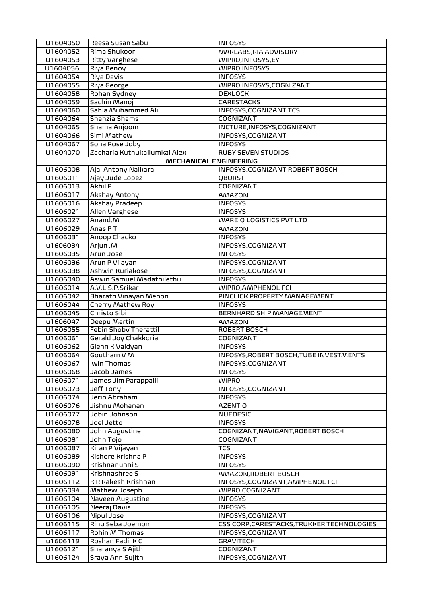| U1604050 | Reesa Susan Sabu              | <b>INFOSYS</b>                             |
|----------|-------------------------------|--------------------------------------------|
| U1604052 | Rima Shukoor                  | MARLABS, RIA ADVISORY                      |
| U1604053 | <b>Ritty Varghese</b>         | WIPRO, INFOSYS, EY                         |
| U1604056 | Riya Benoy                    | WIPRO, INFOSYS                             |
| U1604054 | Riya Davis                    | <b>INFOSYS</b>                             |
| U1604055 | Riya George                   | WIPRO, INFOSYS, COGNIZANT                  |
| U1604058 | Rohan Sydney                  | <b>DEXLOCK</b>                             |
| U1604059 | Sachin Manoj                  | <b>CARESTACKS</b>                          |
| U1604060 | Sahla Muhammed Ali            | INFOSYS, COGNIZANT, TCS                    |
| U1604064 | Shahzia Shams                 | <b>COGNIZANT</b>                           |
| U1604065 | Shama Anjoom                  | INCTURE, INFOSYS, COGNIZANT                |
| U1604066 | Simi Mathew                   | INFOSYS, COGNIZANT                         |
| U1604067 | Sona Rose Joby                | <b>INFOSYS</b>                             |
| U1604070 | Zacharia Kuthukallumkal Alex  | <b>RUBY SEVEN STUDIOS</b>                  |
|          | <b>MECHANICAL ENGINEERING</b> |                                            |
| U1606008 | Ajai Antony Nalkara           | INFOSYS, COGNIZANT, ROBERT BOSCH           |
| U1606011 | Ajay Jude Lopez               | QBURST                                     |
| U1606013 | <b>Akhil P</b>                | COGNIZANT                                  |
| U1606017 | Akshay Antony                 | <b>AMAZON</b>                              |
| U1606016 | Akshay Pradeep                | <b>INFOSYS</b>                             |
| U1606021 | Allen Varghese                | <b>INFOSYS</b>                             |
| U1606027 | Anand.M                       | WAREIQ LOGISTICS PVT LTD                   |
| U1606029 | Anas PT                       | AMAZON                                     |
| U1606031 | Anoop Chacko                  | <b>INFOSYS</b>                             |
| u1606034 | M. nujnA                      | INFOSYS, COGNIZANT                         |
| U1606035 | Arun Jose                     | <b>INFOSYS</b>                             |
| U1606036 | Arun P Vijayan                | INFOSYS, COGNIZANT                         |
| U1606038 | Ashwin Kuriakose              | INFOSYS, COGNIZANT                         |
| U1606040 | Aswin Samuel Madathilethu     | <b>INFOSYS</b>                             |
| U1606014 | A.V.L.S.P.Srikar              | WIPRO, AMPHENOL FCI                        |
| U1606042 | Bharath Vinayan Menon         | PINCLICK PROPERTY MANAGEMENT               |
| U1606044 | Cherry Mathew Roy             | <b>INFOSYS</b>                             |
| U1606045 | Christo Sibi                  | <b>BERNHARD SHIP MANAGEMENT</b>            |
| u1606047 | Deepu Martin                  | <b>AMAZON</b>                              |
| U1606055 | Febin Shoby Therattil         | <b>ROBERT BOSCH</b>                        |
| U1606061 | Gerald Joy Chakkoria          | COGNIZANT                                  |
| U1606062 | Glenn K Vaidyan               | <b>INFOSYS</b>                             |
| U1606064 | Goutham V M                   | INFOSYS, ROBERT BOSCH, TUBE INVESTMENTS    |
| U1606067 | Iwin Thomas                   | INFOSYS, COGNIZANT                         |
| U1606068 | Jacob James                   | <b>INFOSYS</b>                             |
| U1606071 | James Jim Parappallil         | <b>WIPRO</b>                               |
| U1606073 | Jeff Tony                     | INFOSYS, COGNIZANT                         |
| U1606074 | Jerin Abraham                 | <b>INFOSYS</b>                             |
| U1606076 | Jishnu Mohanan                | <b>AZENTIO</b>                             |
| U1606077 | noandol nidol                 | <b>NUEDESIC</b>                            |
| U1606078 | Joel Jetto                    | <b>INFOSYS</b>                             |
| U1606080 | John Augustine                | COGNIZANT, NAVIGANT, ROBERT BOSCH          |
| U1606081 | John Tojo                     | COGNIZANT                                  |
| U1606087 | Kiran P Vijayan               | TCS                                        |
| U1606089 | Kishore Krishna P             | <b>INFOSYS</b>                             |
| U1606090 | Krishnanunni S                | <b>INFOSYS</b>                             |
| U1606091 | Krishnashree S                | AMAZON, ROBERT BOSCH                       |
| U1606112 | K R Rakesh Krishnan           | INFOSYS, COGNIZANT, AMPHENOL FCI           |
| U1606094 | Mathew Joseph                 | WIPRO,COGNIZANT                            |
| U1606104 | Naveen Augustine              | <b>INFOSYS</b>                             |
| U1606105 | Neeraj Davis                  | <b>INFOSYS</b>                             |
| U1606106 | Nipul Jose                    | INFOSYS, COGNIZANT                         |
| U1606115 | Rinu Seba Joemon              | CSS CORP, CARESTACKS, TRUKKER TECHNOLOGIES |
| U1606117 | Rohin M Thomas                | INFOSYS, COGNIZANT                         |
| u1606119 | Roshan Fadil K C              | <b>GRAVITECH</b>                           |
| U1606121 | Sharanya S Ajith              | <b>COGNIZANT</b>                           |
| U1606124 | Sraya Ann Sujith              | INFOSYS, COGNIZANT                         |